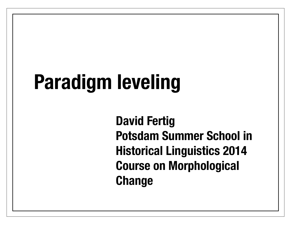# **Paradigm leveling**

**David Fertig Potsdam Summer School in Historical Linguistics 2014 Course on Morphological Change**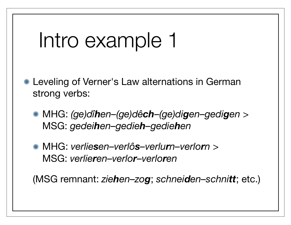### Intro example 1

- Leveling of Verner's Law alternations in German strong verbs:
	- MHG: *(ge)dîhen–(ge)dêch–(ge)digen–gedigen* > MSG: *gedeihen–gedieh–gediehen*
	- MHG: *verliesen–verlôs–verlurn–verlorn* > MSG: *verlieren–verlor–verloren*

(MSG remnant: *ziehen–zog*; *schneiden–schnitt*; etc.)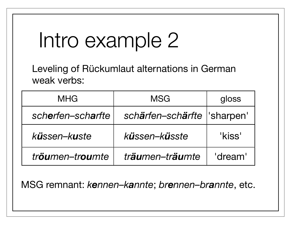## Intro example 2

Leveling of Rückumlaut alternations in German weak verbs:

| <b>MHG</b>        | <b>MSG</b>                    | gloss   |
|-------------------|-------------------------------|---------|
| scherfen-scharfte | schärfen-schärfte   'sharpen' |         |
| küssen-kuste      | küssen-küsste                 | 'kiss'  |
| tröumen-troumte   | träumen-träumte               | 'dream' |

MSG remnant: kennen-kannte; brennen-brannte, etc.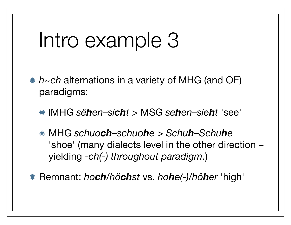### Intro example 3

- *h~ch* alternations in a variety of MHG (and OE) paradigms:
	- lMHG *sëhen*–*sicht* > MSG *sehen*–*sieht* 'see'
	- MHG *schuoch*–*schuohe* > *Schuh*–*Schuhe* 'shoe' (many dialects level in the other direction – yielding *-ch(-) throughout paradigm*.)
- Remnant: *hoch/höchst* vs. *hohe(-)*/*höher* 'high'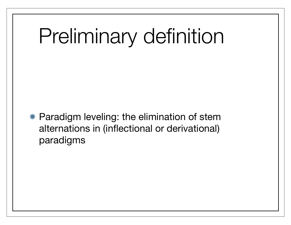# Preliminary definition

Paradigm leveling: the elimination of stem alternations in (inflectional or derivational) paradigms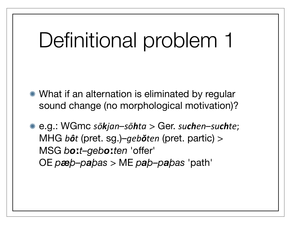## Definitional problem 1

- \* What if an alternation is eliminated by regular sound change (no morphological motivation)?
- \* e.g.: WGmc sōkjan-sōhta > Ger. suchen-suchte; MHG bôt (pret. sg.)-geböten (pret. partic) > MSG boit-geboiten 'offer' OE  $p$ **æb**-pabas > ME  $p$ ab-pabas 'path'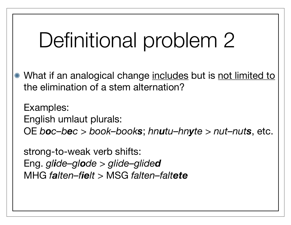## Definitional problem 2

\* What if an analogical change includes but is not limited to the elimination of a stem alternation?

**Examples:** English umlaut plurals: OE boc-bec > book-books; hnutu-hnyte > nut-nuts, etc.

strong-to-weak verb shifts: Eng. glide-glode > glide-glided MHG falten-fielt > MSG falten-faltete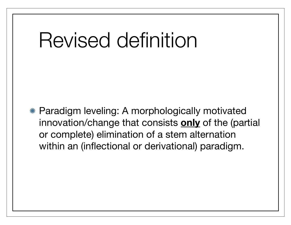### Revised definition

Paradigm leveling: A morphologically motivated innovation/change that consists **only** of the (partial or complete) elimination of a stem alternation within an (inflectional or derivational) paradigm.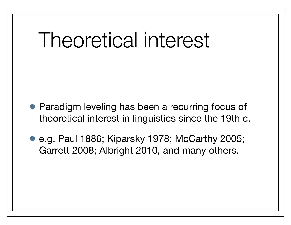### Theoretical interest

- Paradigm leveling has been a recurring focus of theoretical interest in linguistics since the 19th c.
- e.g. Paul 1886; Kiparsky 1978; McCarthy 2005; Garrett 2008; Albright 2010, and many others.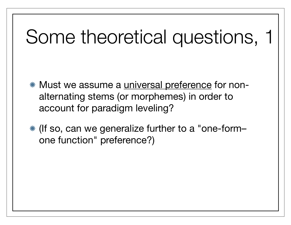### Some theoretical questions, 1

- **\* Must we assume a universal preference for non**alternating stems (or morphemes) in order to account for paradigm leveling?
- (If so, can we generalize further to a "one-form– one function" preference?)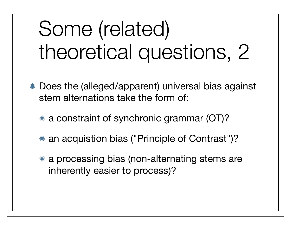# Some (related) theoretical questions, 2

- Does the (alleged/apparent) universal bias against stem alternations take the form of:
	- a constraint of synchronic grammar (OT)?
	- an acquistion bias ("Principle of Contrast")?
	- a processing bias (non-alternating stems are inherently easier to process)?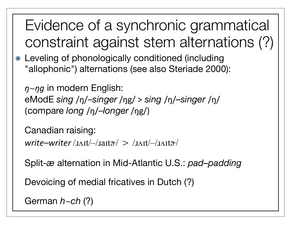Evidence of a synchronic grammatical constraint against stem alternations (?)

Leveling of phonologically conditioned (including "allophonic") alternations (see also Steriade 2000):

*ŋ*~*ŋg* in modern English: eModE *sing* /ŋ/*–singer*%/ŋg/%> *sing* /ŋ/*–singer* /ŋ/ (compare *long* /ŋ/*–longer*%/ŋg/)%

Canadian raising: write–writer/*xxit/–/xait*<sup>-/</sup> > /*xxit/–/xxit*<sup>\*</sup>/

Split-*æ* alternation in Mid-Atlantic U.S.: *pad–padding*

Devoicing of medial fricatives in Dutch (?)

German *h~ch* (?)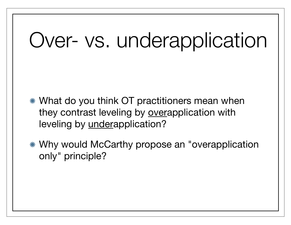## Over- vs. underapplication

- What do you think OT practitioners mean when they contrast leveling by overapplication with leveling by underapplication?
- Why would McCarthy propose an "overapplication only" principle?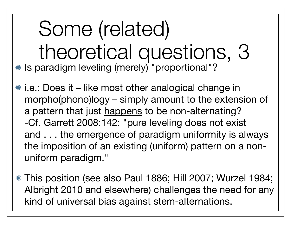Some (related) theoretical questions, 3 \* Is paradigm leveling (merely) "proportional"?

i.e.: Does it – like most other analogical change in morpho(phono)logy – simply amount to the extension of a pattern that just happens to be non-alternating? -Cf. Garrett 2008:142: "pure leveling does not exist and . . . the emergence of paradigm uniformity is always the imposition of an existing (uniform) pattern on a nonuniform paradigm."

This position (see also Paul 1886; Hill 2007; Wurzel 1984; Albright 2010 and elsewhere) challenges the need for any kind of universal bias against stem-alternations.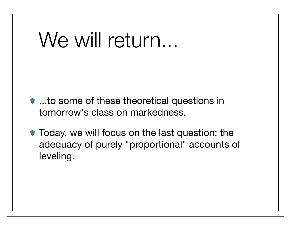### We will return...

- **\*\* ...to some of these theoretical questions in** tomorrow's class on markedness.
- Today, we will focus on the last question: the adequacy of purely "proportional" accounts of leveling.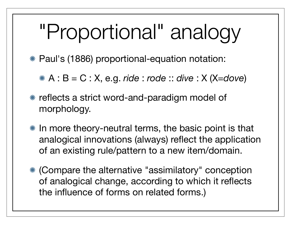# "Proportional" analogy

Paul's (1886) proportional-equation notation:

A : B = C : X, e.g. *ride* : *rode* :: *dive* : X (X=*dove*)

- reflects a strict word-and-paradigm model of morphology.
- \* In more theory-neutral terms, the basic point is that analogical innovations (always) reflect the application of an existing rule/pattern to a new item/domain.
- (Compare the alternative "assimilatory" conception of analogical change, according to which it reflects the influence of forms on related forms.)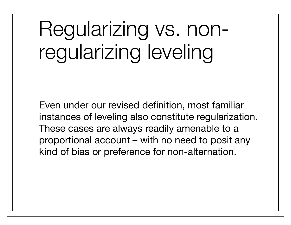# Regularizing vs. nonregularizing leveling

Even under our revised definition, most familiar instances of leveling also constitute regularization. These cases are always readily amenable to a proportional account – with no need to posit any kind of bias or preference for non-alternation.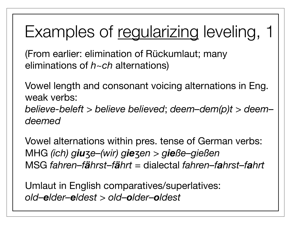### Examples of regularizing leveling, 1

(From earlier: elimination of Rückumlaut; many eliminations of *h*~*ch* alternations)

Vowel length and consonant voicing alternations in Eng. weak verbs: *believe-beleft* > *believe believed*; *deem–dem(p)t > deem– deemed*

Vowel alternations within pres. tense of German verbs: MHG *(ich) giu*ʒ*e–(wir) gie*ʒ*en > gieße–gießen* MSG *fahren–fährst–fährt =* dialectal *fahren–fahrst–fahrt*

Umlaut in English comparatives/superlatives: *old–elder–eldest > old–older–oldest*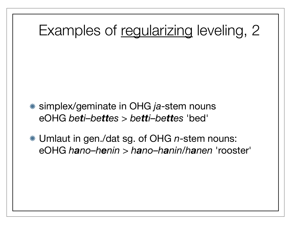### Examples of regularizing leveling, 2

- simplex/geminate in OHG *ja*-stem nouns eOHG *beti–bettes* > *betti–bettes* 'bed'
- Umlaut in gen./dat sg. of OHG *n*-stem nouns: eOHG *hano–henin* > *hano–hanin/hanen* 'rooster'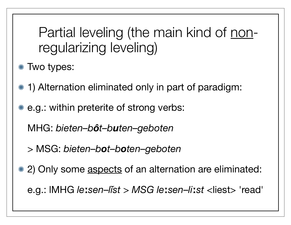Partial leveling (the main kind of nonregularizing leveling)

\* Two types:

- 1) Alternation eliminated only in part of paradigm:
- e.g.: within preterite of strong verbs:

MHG: *bieten–bôt–buten–geboten*

> MSG: *bieten–bot–boten–geboten*

\* 2) Only some aspects of an alternation are eliminated:

e.g.: lMHG *le*ː*sen*–*lĭst > MSG le*ː*sen*–*li*ː*st* <liest> 'read'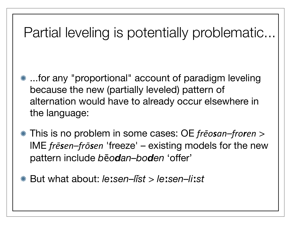### Partial leveling is potentially problematic...

- **\*\*** ...for any "proportional" account of paradigm leveling because the new (partially leveled) pattern of alternation would have to already occur elsewhere in the language:
- This is no problem in some cases: OE *frēosan–froren* > lME *frēsen–frōsen* 'freeze' – existing models for the new pattern include *b*ē*odan–boden* 'offer'
- But what about: *le*ː*sen*–*lĭst > le*ː*sen*–*li*ː*st*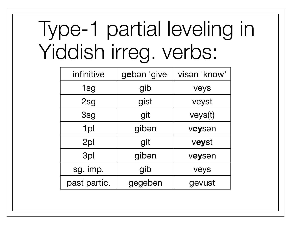# Type-1 partial leveling in Yiddish irreg. verbs:

| infinitive   | geben 'give' | visan 'know' |
|--------------|--------------|--------------|
| 1sg          | gib          | veys         |
| 2sg          | gist         | veyst        |
| 3sg          | git          | veys(t)      |
| 1pl          | gibən        | veysen       |
| 2pl          | git          | veyst        |
| 3pl          | gibən        | veysen       |
| sg. imp.     | gib          | veys         |
| past partic. | gegebən      | gevust       |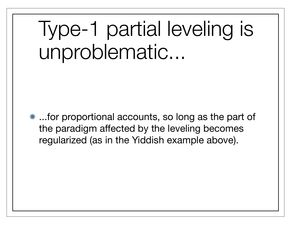# Type-1 partial leveling is unproblematic...

...for proportional accounts, so long as the part of the paradigm affected by the leveling becomes regularized (as in the Yiddish example above).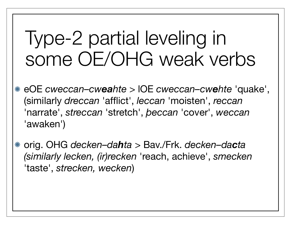### Type-2 partial leveling in some OE/OHG weak verbs

- eOE *cweccan–cweahte* > lOE *cweccan–cwehte* 'quake', (similarly *dreccan* 'afflict', *leccan* 'moisten', *reccan* 'narrate', *streccan* 'stretch', *þeccan* 'cover', *weccan* 'awaken')
- orig. OHG *decken–dahta* > Bav./Frk. *decken–dacta (similarly lecken, (ir)recken* 'reach, achieve', *smecken* 'taste', *strecken, wecken*)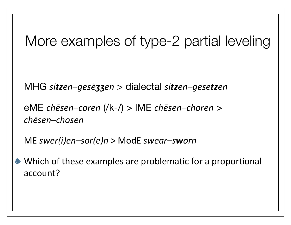### More examples of type-2 partial leveling

MHG sitzen-gesëzzen > dialectal sitzen-gesetzen

eME chesen-coren (/k-/) > IME chesen-choren > chesen-chosen

ME swer(i)en-sor(e)n > ModE swear-sworn

\* Which of these examples are problematic for a proportional account?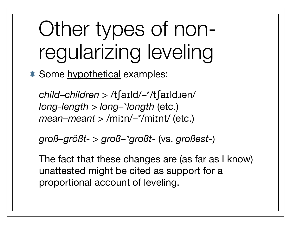# Other types of nonregularizing leveling

\* Some hypothetical examples:

*child–children* > /tʃaɪld/–\*/tʃaɪldɹən/ *long-length* > *long–\*longth* (etc.) *mean–meant* > /miːn/–\*/miːnt/ (etc.)

*groß–größt-* > *groß–\*großt*- (vs. *großest*-)

The fact that these changes are (as far as I know) unattested might be cited as support for a proportional account of leveling.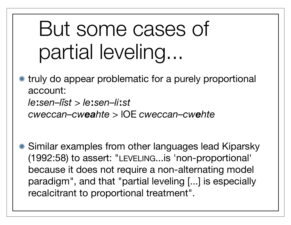# But some cases of partial leveling...

truly do appear problematic for a purely proportional account: *le*ː*sen*–*lĭst > le*ː*sen*–*li*ː*st cweccan–cweahte* > lOE *cweccan–cwehte*

Similar examples from other languages lead Kiparsky (1992:58) to assert: "LEVELING...is 'non-proportional' because it does not require a non-alternating model paradigm", and that "partial leveling [...] is especially recalcitrant to proportional treatment".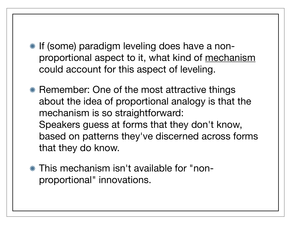- **If (some) paradigm leveling does have a non**proportional aspect to it, what kind of mechanism could account for this aspect of leveling.
- **K** Remember: One of the most attractive things about the idea of proportional analogy is that the mechanism is so straightforward: Speakers guess at forms that they don't know, based on patterns they've discerned across forms that they do know.
- This mechanism isn't available for "nonproportional" innovations.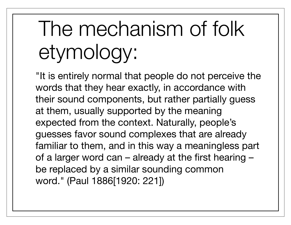# The mechanism of folk etymology:

"It is entirely normal that people do not perceive the words that they hear exactly, in accordance with their sound components, but rather partially guess at them, usually supported by the meaning expected from the context. Naturally, people's guesses favor sound complexes that are already familiar to them, and in this way a meaningless part of a larger word can – already at the first hearing – be replaced by a similar sounding common word." (Paul 1886[1920: 221])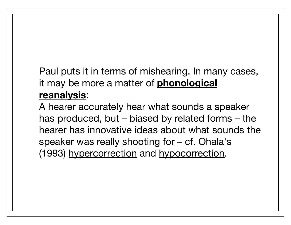#### Paul puts it in terms of mishearing. In many cases, it may be more a matter of **phonological reanalysis**:

A hearer accurately hear what sounds a speaker has produced, but – biased by related forms – the hearer has innovative ideas about what sounds the speaker was really shooting for – cf. Ohala's (1993) hypercorrection and hypocorrection.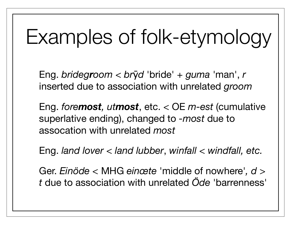### Examples of folk-etymology

Eng. bridegroom < bryd 'bride' + guma 'man', r inserted due to association with unrelated groom

Eng. foremost, utmost, etc. <  $OE$  m-est (cumulative superlative ending), changed to -most due to assocation with unrelated most

Eng. land lover  $<$  land lubber, winfall  $<$  windfall, etc.

Ger. Einöde  $<$  MHG einœte 'middle of nowhere',  $d$  > t due to association with unrelated Öde 'barrenness'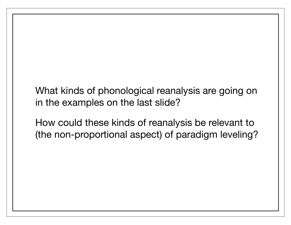What kinds of phonological reanalysis are going on in the examples on the last slide?

How could these kinds of reanalysis be relevant to (the non-proportional aspect) of paradigm leveling?